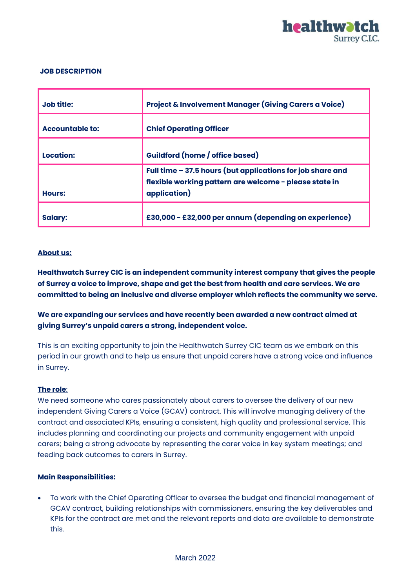

### **JOB DESCRIPTION**

| Job title:             | <b>Project &amp; Involvement Manager (Giving Carers a Voice)</b>                                                                     |
|------------------------|--------------------------------------------------------------------------------------------------------------------------------------|
| <b>Accountable to:</b> | <b>Chief Operating Officer</b>                                                                                                       |
| Location:              | <b>Guildford (home / office based)</b>                                                                                               |
| <b>Hours:</b>          | Full time - 37.5 hours (but applications for job share and<br>flexible working pattern are welcome - please state in<br>application) |
| <b>Salary:</b>         | £30,000 - £32,000 per annum (depending on experience)                                                                                |

#### **About us:**

**Healthwatch Surrey CIC is an independent community interest company that gives the people of Surrey a voice to improve, shape and get the best from health and care services. We are committed to being an inclusive and diverse employer which reflects the community we serve.** 

# **We are expanding our services and have recently been awarded a new contract aimed at giving Surrey's unpaid carers a strong, independent voice.**

This is an exciting opportunity to join the Healthwatch Surrey CIC team as we embark on this period in our growth and to help us ensure that unpaid carers have a strong voice and influence in Surrey.

#### **The role**:

We need someone who cares passionately about carers to oversee the delivery of our new independent Giving Carers a Voice (GCAV) contract. This will involve managing delivery of the contract and associated KPIs, ensuring a consistent, high quality and professional service. This includes planning and coordinating our projects and community engagement with unpaid carers; being a strong advocate by representing the carer voice in key system meetings; and feeding back outcomes to carers in Surrey.

## **Main Responsibilities:**

• To work with the Chief Operating Officer to oversee the budget and financial management of GCAV contract, building relationships with commissioners, ensuring the key deliverables and KPIs for the contract are met and the relevant reports and data are available to demonstrate this.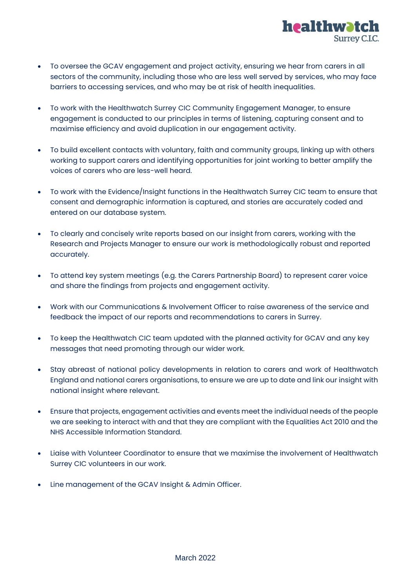

- To oversee the GCAV engagement and project activity, ensuring we hear from carers in all sectors of the community, including those who are less well served by services, who may face barriers to accessing services, and who may be at risk of health inequalities.
- To work with the Healthwatch Surrey CIC Community Engagement Manager, to ensure engagement is conducted to our principles in terms of listening, capturing consent and to maximise efficiency and avoid duplication in our engagement activity.
- To build excellent contacts with voluntary, faith and community groups, linking up with others working to support carers and identifying opportunities for joint working to better amplify the voices of carers who are less-well heard.
- To work with the Evidence/Insight functions in the Healthwatch Surrey CIC team to ensure that consent and demographic information is captured, and stories are accurately coded and entered on our database system.
- To clearly and concisely write reports based on our insight from carers, working with the Research and Projects Manager to ensure our work is methodologically robust and reported accurately.
- To attend key system meetings (e.g. the Carers Partnership Board) to represent carer voice and share the findings from projects and engagement activity.
- Work with our Communications & Involvement Officer to raise awareness of the service and feedback the impact of our reports and recommendations to carers in Surrey.
- To keep the Healthwatch CIC team updated with the planned activity for GCAV and any key messages that need promoting through our wider work.
- Stay abreast of national policy developments in relation to carers and work of Healthwatch England and national carers organisations, to ensure we are up to date and link our insight with national insight where relevant.
- Ensure that projects, engagement activities and events meet the individual needs of the people we are seeking to interact with and that they are compliant with the Equalities Act 2010 and the NHS Accessible Information Standard.
- Liaise with Volunteer Coordinator to ensure that we maximise the involvement of Healthwatch Surrey CIC volunteers in our work.
- Line management of the GCAV Insight & Admin Officer.